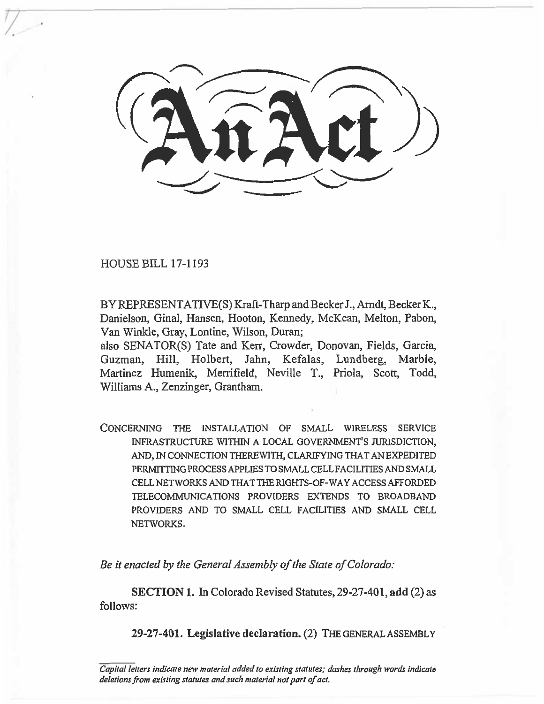$\textcircled{ArAct}})$ ".........?..,,, ,----(....

HOUSE BILL 17-1193

BY REPRESENTATIVE(S) Kraft-Tharp and Becker J., Arndt, Becker K., Danielson, Ginal, Hansen, Hooton, Kennedy, McKean, Melton, Pabon, Van Winkle, Gray, Lontine, Wilson, Duran;

also SENATOR(S) Tate and Kerr, Crowder, Donovan, Fields, Garcia, Guzman, Hill, Holbert, Jahn, Kefalas, Lundberg, Marble, Martinez Humenik, Merrifield, Neville T., Priola, Scott, Todd, Williams A., Zenzinger, Grantham.

CONCERNING THE INSTALLATION OF SMALL WIRELESS SERVICE INFRASTRUCTURE WITHIN A LOCAL GOVERNMENT'S JURISDICTION, AND, IN CONNECTION THEREWITH, CLARIFYING THAT AN EXPEDITED PERMITTING PROCESS APPLIES TO SMALL CELL FACILITIES AND SMALL CELL NETWORKS AND THAT THE RIGHTS-OF-WAY ACCESS AFFORDED TELECOMMUNICATIONS PROVIDERS EXTENDS TO BROADBAND PROVIDERS AND TO SMALL CELL FACILITIES AND SMALL CELL NETWORKS.

*Be it enacted by the General Assembly of the State of Colorado:* 

**SECTION I.** In Colorado Revised Statutes, 29-27-401, **add** (2) as follows:

**29-27-401. Legislative declaration.** (2) THE GENERAL ASSEMBLY

*Capital letters indicate new material added to existing statutes; dashes through words indicate deletions from existing statutes and such material not part of act.*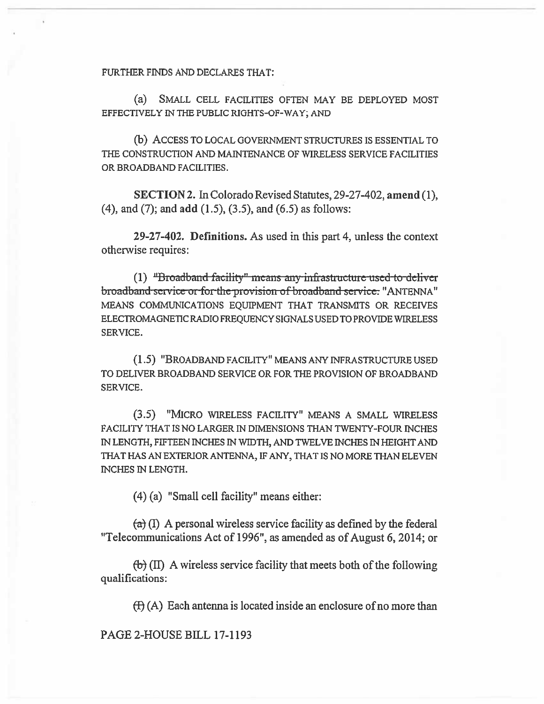FURTHER FINDS AND DECLARES THAT:

(a) SMALL CELL FACILITIES OFTEN MAY BE DEPLOYED MOST EFFECTIVELY IN THE PUBLIC RIGHTS-OF-WAY; AND

(b) ACCESS TO LOCAL GOVERNMENT STRUCTURES IS ESSENTIAL TO THE CONSTRUCTION AND MAINTENANCE OF WIRELESS SERVICE FACILITIES OR BROADBAND FACILITIES.

SECTION 2. In Colorado Revised Statutes, 29-27-402, amend (1), (4), and (7); and add (1.5), (3.5), and (6.5) as follows:

29-27-402. Definitions. As used in this part 4, unless the context otherwise requires:

 $(1)$  "Broadband facility" means any infrastructure used to deliver broadband-service-or-for-the-provision of broadband service: "ANTENNA" MEANS COMMUNICATIONS EQUIPMENT THAT TRANSMITS OR RECEIVES ELECTROMAGNETIC RADIO FREQUENCY SIGNALS USED TO PROVIDE WIRELESS SERVICE.

(1.5) "BROADBAND FACILITY" MEANS ANY INFRASTRUCTURE USED TO DELIVER BROADBAND SERVICE OR FOR THE PROVISION OF BROADBAND SERVICE.

(3.5) "MICRO WIRELESS FACILITY" MEANS A SMALL WIRELESS FACILITY THAT IS NO LARGER IN DIMENSIONS THAN TWENTY-FOUR INCHES IN LENGTH, FIFTEEN INCHES IN WIDTH, AND TWELVE INCHES IN HEIGHT AND THAT HAS AN EXTERIOR ANTENNA, IF ANY, THAT IS NO MORE THAN ELEVEN INCHES IN LENGTH.

(4) (a) "Small cell facility" means either:

 $f_a$ ) (I) A personal wireless service facility as defined by the federal "Telecommunications Act of 1996", as amended as of August 6, 2014; or

 $\left(\frac{b}{b}\right)$  (II) A wireless service facility that meets both of the following qualifications:

 $(H)(A)$  Each antenna is located inside an enclosure of no more than

PAGE 2-HOUSE BILL 17-1193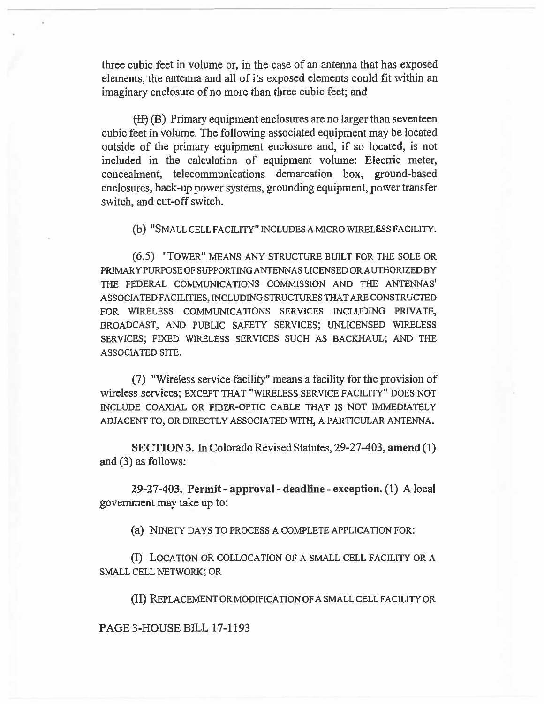three cubic feet in volume or, in the case of an antenna that has exposed elements, the antenna and all of its exposed elements could fit within an imaginary enclosure of no more than three cubic feet; and

(H) (B) Primary equipment enclosures are no larger than seventeen cubic feet in volume. The following associated equipment may be located outside of the primary equipment enclosure and, if so located, is not included in the calculation of equipment volume: Electric meter, concealment, telecommunications demarcation box, ground-based enclosures, back-up power systems, grounding equipment, power transfer switch, and cut-off switch.

(b) "SMALL CELL FACILITY" INCLUDES A MICRO WIRELESS FACILITY.

(6.5) "TOWER" MEANS ANY STRUCTURE BUILT FOR THE SOLE OR PRIMARY PURPOSE OF SUPPORTING ANTENNAS LICENSED OR AUTHORIZED BY THE FEDERAL COMMUNICATIONS COMMISSION AND THE ANTENNAS' ASSOCIATED FACILITIES, INCLUDING STRUCTURES THAT ARE CONSTRUCTED FOR WIRELESS COMMUNICATIONS SERVICES INCLUDING PRIVATE, BROADCAST, AND PUBLIC SAFETY SERVICES; UNLICENSED WIRELESS SERVICES; FIXED WIRELESS SERVICES SUCH AS BACKHAUL; AND THE ASSOCIATED SITE.

(7) "Wireless service facility" means a facility for the provision of wireless services; EXCEPT THAT "WIRELESS SERVICE FACILITY" DOES NOT INCLUDE COAXIAL OR FIBER-OPTIC CABLE THAT IS NOT IMMEDIATELY ADJACENT TO, OR DIRECTLY ASSOCIATED WITH, A PARTICULAR ANTENNA.

**SECTION 3.** In Colorado Revised Statutes, 29-27-403, **amend (1)**  and (3) as follows:

**29-27-403. Permit - approval - deadline - exception.** (1) A local government may take up to:

(a) NINETY DAYS TO PROCESS A COMPLETE APPLICATION FOR:

(I) LOCATION OR COLLOCATION OF A SMALL CELL FACILITY OR A SMALL CELL NETWORK; OR

(II) REPLACEMENT OR MODIFICATION OF A SMALL CELL FACILITY OR

PAGE 3-HOUSE BILL 17-1193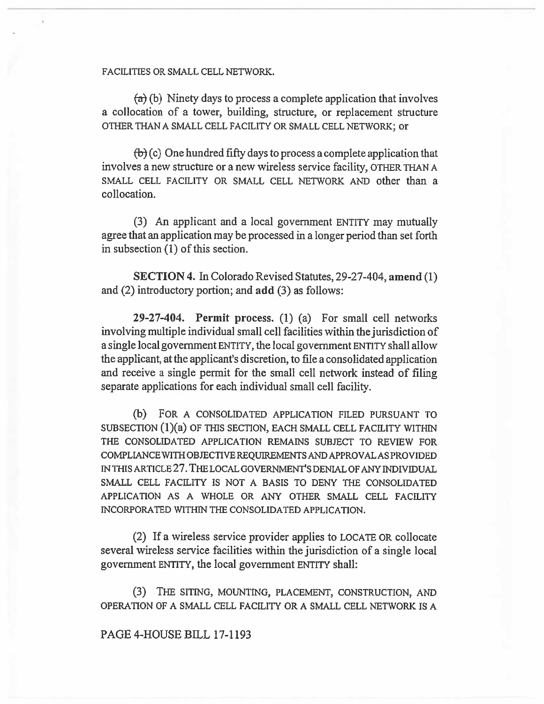FACILITIES OR SMALL CELL NETWORK.

 $(a)$  (b) Ninety days to process a complete application that involves a collocation of a tower, building, structure, or replacement structure OTHER THAN A SMALL CELL FACILITY OR SMALL CELL NETWORK; or

 $(\theta)(c)$  One hundred fifty days to process a complete application that involves a new structure or a new wireless service facility, OTHER THAN A SMALL CELL FACILITY OR SMALL CELL NETWORK AND other than a collocation.

(3) An applicant and a local government ENTITY may mutually agree that an application may be processed in a longer period than set forth in subsection (1) of this section.

SECTION 4. In Colorado Revised Statutes, 29-27-404, **amend** (1) and (2) introductory portion; and add (3) as follows:

29-27-404. Permit process. (1) (a) For small cell networks involving multiple individual small cell facilities within the jurisdiction of a single local government ENTITY, the local government ENTITY shall allow the applicant, at the applicant's discretion, to file a consolidated application and receive a single permit for the small cell network instead of filing separate applications for each individual small cell facility.

(b) FOR A CONSOLIDATED APPLICATION FILED PURSUANT TO SUBSECTION (1)(a) OF THIS SECTION, EACH SMALL CELL FACILITY WITHIN THE CONSOLIDATED APPLICATION REMAINS SUBJECT TO REVIEW FOR COMPLIANCE WITH OBJECTIVE REQUIREMENTS AND APPROVAL AS PROVIDED IN THIS ARTICLE 27. THE LOCAL GOVERNMENT'S DENIAL OF ANY INDIVIDUAL SMALL CELL FACILITY IS NOT A BASIS TO DENY THE CONSOLIDATED APPLICATION AS A WHOLE OR ANY OTHER SMALL CELL FACILITY INCORPORATED WITHIN THE CONSOLIDATED APPLICATION.

(2) If a wireless service provider applies to LOCATE OR collocate several wireless service facilities within the jurisdiction of a single local government ENTITY, the local government ENTITY shall:

(3) THE SITING, MOUNTING, PLACEMENT, CONSTRUCTION, AND OPERATION OF A SMALL CELL FACILITY OR A SMALL CELL NETWORK IS A

#### PAGE 4-HOUSE BILL 17-1193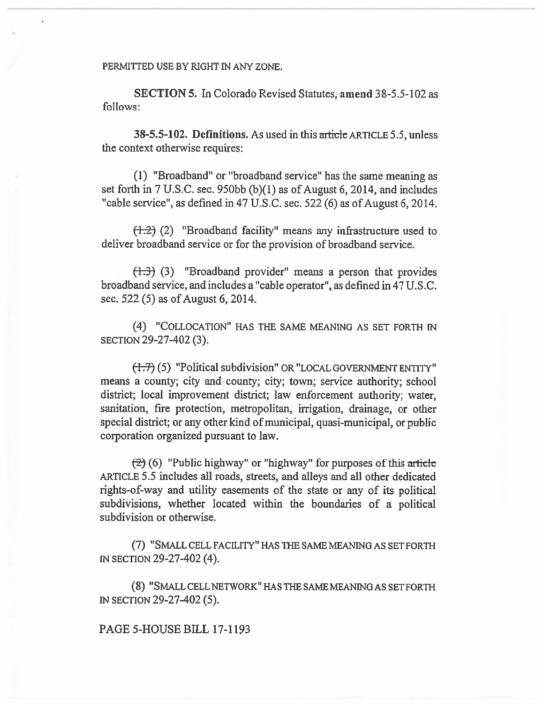PERMITTED USE BY RIGHT IN ANY ZONE.

SECTION 5. In Colorado Revised Statutes, amend 38-5.5-102 as follows:

38-5.5-102. Definitions. As used in this article ARTICLE 5.5, unless the context otherwise requires:

(1) "Broadband" or "broadband service" has the same meaning as set forth in 7 U.S.C. sec. 950bb (b)(1) as of August 6, 2014, and includes "cable service", as defined in 47 U.S.C. sec. 522 (6) as of August 6, 2014.

 $(1.2)$  (2) "Broadband facility" means any infrastructure used to deliver broadband service or for the provision of broadband service.

 $(1.3)$  (3) "Broadband provider" means a person that provides broadband service, and includes a "cable operator", as defined in 47 U.S.C. sec. 522 (5) as of August 6, 2014.

(4) "COLLOCATION" HAS THE SAME MEANING AS SET FORTH IN SECTION 29-27-402 (3).

 $\left(1,7\right)$  (5) "Political subdivision" OR "LOCAL GOVERNMENT ENTITY" means a county; city and county; city; town; service authority; school district; local improvement district; law enforcement authority; water, sanitation, fire protection, metropolitan, irrigation, drainage, or other special district; or any other kind of municipal, quasi-municipal, or public corporation organized pursuant to law.

(<del>2</del>) (6) "Public highway" or "highway" for purposes of this article ARTICLE 5.5 includes all roads, streets, and alleys and all other dedicated rights-of-way and utility easements of the state or any of its political subdivisions, whether located within the boundaries **of a** political subdivision or otherwise.

(7) "SMALL CELL FACILITY" HAS THE SAME MEANING AS SET FORTH IN SECTION 29-27-402 (4).

(8) "SMALL CELL NETWORK" HAS THE SAME MEANING AS SET FORTH IN SECTION 29-27-402 (5).

#### PAGE 5-HOUSE BILL 17-1193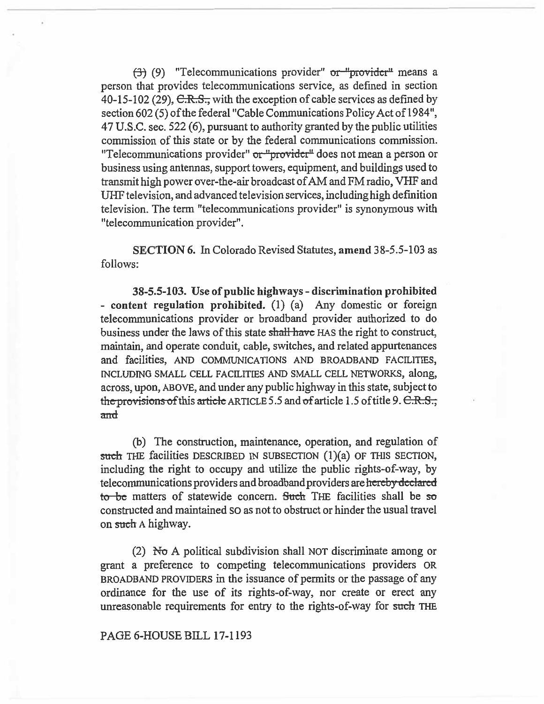$(3)$  (9) "Telecommunications provider" or "provider" means a person that provides telecommunications service, as defined in section 40-15-102 (29),  $C.R.S.,$  with the exception of cable services as defined by section 602 (5) of the federal "Cable Communications Policy Act of 1984", 47 U.S.C. sec. 522 (6), pursuant to authority granted by the public utilities commission of this state or by the federal communications commission. "Telecommunications provider" or "provider" does not mean a person or business using antennas, support towers, equipment, and buildings used to transmit high power over-the-air broadcast of AM and FM radio, VHF and UHF television, and advanced television services, including high definition television. The term "telecommunications provider" is synonymous with "telecommunication provider".

**SECTION 6.** In Colorado Revised Statutes, **amend** 38-5.5-103 as follows:

**38-5.5-103. Use of public highways - discrimination prohibited - content regulation prohibited.** (1) (a) Any domestic or foreign telecommunications provider or broadband provider authorized to do business under the laws of this state shall have HAS the right to construct, maintain, and operate conduit, cable, switches, and related appurtenances and facilities, AND COMMUNICATIONS AND BROADBAND FACILITIES, INCLUDING SMALL CELL FACILITIES AND SMALL CELL NETWORKS, along, across, upon, ABOVE, and under any public highway in this state, subject to the provisions of this article ARTICLE 5.5 and of article 1.5 of title 9.  $C.R.S.;$ and

(b) The construction, maintenance, operation, and regulation of such THE facilities DESCRIBED IN SUBSECTION  $(1)(a)$  OF THIS SECTION, including the right to occupy and utilize the public rights-of-way, by telecommunications providers and broadband providers are hereby declared to be matters of statewide concern. Such THE facilities shall be so constructed and maintained SO as not to obstruct or hinder the usual travel on such A highway.

(2) No A political subdivision shall NOT discriminate among or grant a preference to competing telecommunications providers OR BROADBAND PROVIDERS in the issuance of permits or the passage of any ordinance for the use of its rights-of-way, nor create or erect any unreasonable requirements for entry to the rights-of-way for such THE

## PAGE 6-HOUSE BILL 17-1193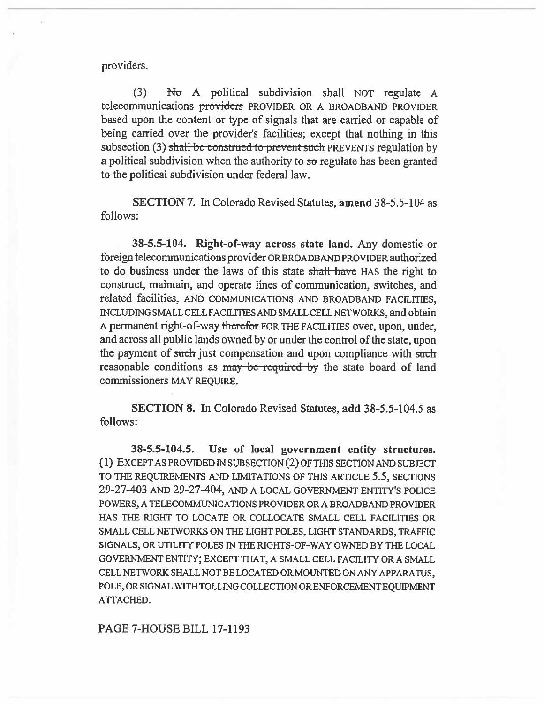providers.

 $(3)$  No A political subdivision shall NOT regulate A telecommunications providers PROVIDER OR A BROADBAND PROVIDER based upon the content or type of signals that are carried or capable of being carried over the provider's facilities; except that nothing in this subsection  $(3)$  shall be construed to prevent such PREVENTS regulation by a political subdivision when the authority to so regulate has been granted to the political subdivision under federal law.

SECTION 7. In Colorado Revised Statutes, amend 38-5.5-104 as follows:

38-5.5-104. Right-of-way across state land. Any domestic or foreign telecommunications provider OR BROADBAND PROVIDER authorized to do business under the laws of this state shall have HAS the right to construct, maintain, and operate lines of communication, switches, and related facilities, AND COMMUNICATIONS AND BROADBAND FACILITIES, INCLUDING SMALL CELL FACILITIES AND SMALL CELL NETWORKS, and obtain A permanent right-of-way therefor FOR THE FACILITIES over, upon, under, and across all public lands owned by or under the control of the state, upon the payment of such just compensation and upon compliance with such reasonable conditions as may be required by the state board of land commissioners MAY REQUIRE.

SECTION 8. In Colorado Revised Statutes, add 38-5.5-104.5 as follows:

38-5.5-104.5. Use of local **government entity structures.**  (1) EXCEPT AS PROVIDED IN SUBSECTION (2) OF THIS SECTION AND SUBJECT TO THE REQUIREMENTS AND LIMITATIONS OF THIS ARTICLE 5.5, SECTIONS 29-27-403 AND 29-27-404, AND A LOCAL GOVERNMENT ENTITY'S POLICE POWERS, A TELECOMMUNICATIONS PROVIDER OR A BROADBAND PROVIDER HAS THE RIGHT TO LOCATE OR COLLOCATE SMALL CELL FACILITIES OR SMALL CELL NETWORKS ON THE LIGHT POLES, LIGHT STANDARDS, TRAFFIC SIGNALS, OR UTILITY POLES IN THE RIGHTS-OF-WAY OWNED BY THE LOCAL GOVERNMENT ENTITY; EXCEPT THAT, A SMALL CELL FACILITY OR A SMALL CELL NETWORK SHALL NOT BE LOCATED OR MOUNTED ON ANY APPARATUS, POLE, OR SIGNAL WITH TOLLING COLLECTION OR ENFORCEMENT EQUIPMENT ATTACHED.

PAGE 7-HOUSE BILL 17-1193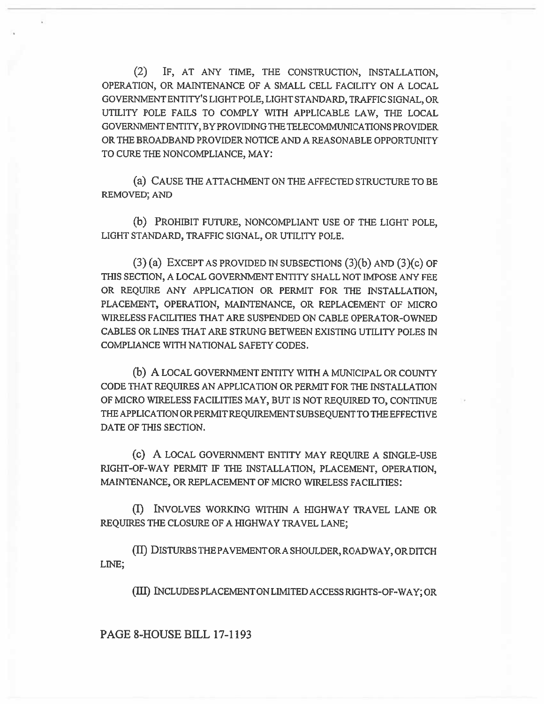(2) IF, AT ANY TIME, THE CONSTRUCTION, INSTALLATION, OPERATION, OR MAINTENANCE OF A SMALL CELL FACILITY ON A LOCAL GOVERNMENT ENTITY'S LIGHT POLE, LIGHT STANDARD, TRAFFIC SIGNAL, OR UTILITY POLE FAILS TO COMPLY WITH APPLICABLE LAW, THE LOCAL GOVERNMENT ENTITY, BY PROVIDING THE TELECOMMUNICATIONS PROVIDER OR THE BROADBAND PROVIDER NOTICE AND A REASONABLE OPPORTUNITY TO CURE THE NONCOMPLIANCE, MAY:

(a) CAUSE THE ATTACHMENT ON THE AFFECTED STRUCTURE TO BE REMOVED; AND

(b) PROHIBIT FUTURE, NONCOMPLIANT USE OF THE LIGHT POLE, LIGHT STANDARD, TRAFFIC SIGNAL, OR UTILITY POLE.

 $(3)$  (a) EXCEPT AS PROVIDED IN SUBSECTIONS  $(3)(b)$  AND  $(3)(c)$  OF THIS SECTION, A LOCAL GOVERNMENT ENTITY SHALL NOT IMPOSE ANY FEE OR REQUIRE ANY APPLICATION OR PERMIT FOR THE INSTALLATION, PLACEMENT, OPERATION, MAINTENANCE, OR REPLACEMENT OF MICRO WIRELESS FACILITIES THAT ARE SUSPENDED ON CABLE OPERATOR-OWNED CABLES OR LINES THAT ARE STRUNG BETWEEN EXISTING UTILITY POLES IN COMPLIANCE WITH NATIONAL SAFETY CODES.

(b) A LOCAL GOVERNMENT ENTITY WITH A MUNICIPAL OR COUNTY CODE THAT REQUIRES AN APPLICATION OR PERMIT FOR THE INSTALLATION OF MICRO WIRELESS FACILITIES MAY, BUT IS NOT REQUIRED TO, CONTINUE THE APPLICATION OR PERMIT REQUIREMENT SUBSEQUENT TO THE EFFECTIVE DATE OF THIS SECTION.

(c) A LOCAL GOVERNMENT ENTITY MAY REQUIRE A SINGLE-USE RIGHT-OF-WAY PERMIT IF THE INSTALLATION, PLACEMENT, OPERATION, MAINTENANCE, OR REPLACEMENT OF MICRO WIRELESS FACILITIES:

(I) INVOLVES WORKING WITHIN A HIGHWAY TRAVEL LANE OR REQUIRES THE CLOSURE OF A HIGHWAY TRAVEL LANE;

(11) DISTURBS THE PAVEMENT OR A SHOULDER, ROADWAY, OR DITCH LINE;

(111) INCLUDES PLACEMENT ON LIMITED ACCESS RIGHTS-OF-WAY; OR

PAGE 8-HOUSE BILL 17-1193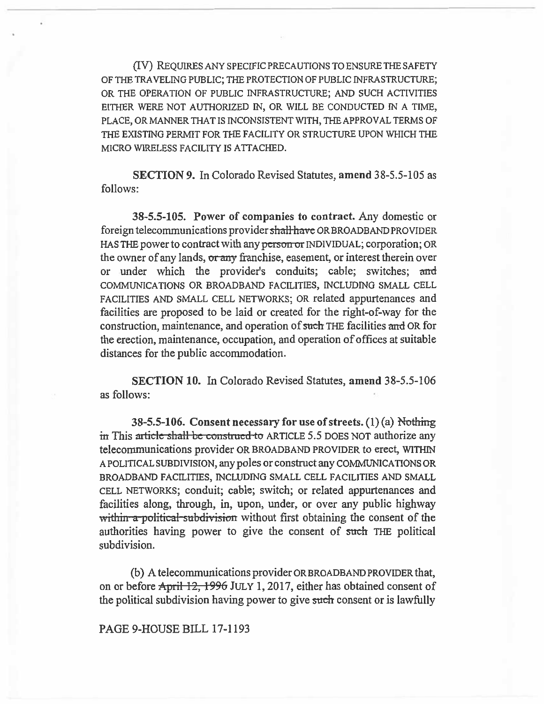**(IV)** REQUIRES ANY SPECIFIC PRECAUTIONS TO ENSURE THE SAFETY OF THE TRAVELING PUBLIC; THE PROTECTION OF PUBLIC INFRASTRUCTURE; OR THE OPERATION OF PUBLIC INFRASTRUCTURE; AND SUCH ACTIVITIES EITHER WERE NOT AUTHORIZED IN, OR WILL BE CONDUCTED IN A TIME, PLACE, OR MANNER THAT IS INCONSISTENT WITH, THE APPROVAL TERMS OF THE EXISTING PERMIT FOR THE FACILITY OR STRUCTURE UPON WHICH THE MICRO WIRELESS FACILITY IS ATTACHED.

**SECTION 9.** In Colorado Revised Statutes, **amend** 38-5.5-105 as follows:

**38-5.5-105. Power of companies to contract.** Any domestic or foreign telecommunications provider shall-have OR BROADBAND PROVIDER HAS THE power to contract with any person or INDIVIDUAL; corporation; OR the owner of any lands, or *any* franchise, easement, or interest therein over or under which the provider's conduits; cable; switches; and COMMUNICATIONS OR BROADBAND FACILITIES, INCLUDING SMALL CELL FACILITIES AND SMALL CELL NETWORKS; OR related appurtenances and facilities are proposed to be laid or created for the right-of-way for the construction, maintenance, and operation of such THE facilities and OR for the erection, maintenance, occupation, and operation of offices at suitable distances for the public accommodation.

**SECTION 10. In** Colorado Revised Statutes, **amend** 38-5.5-106 as follows:

**38-5.5-106. Consent necessary for use of streets.** (1) (a) Nothing in This article shall be construed to ARTICLE 5.5 DOES NOT authorize any telecommunications provider OR BROADBAND PROVIDER to erect, WITHIN A POLITICAL SUBDIVISION, any poles or construct any COMMUNICATIONS OR BROADBAND FACILITIES, INCLUDING SMALL CELL FACILITIES AND SMALL CELL NETWORKS; conduit; cable; switch; or related appurtenances and facilities along, through, in, upon, under, or over any public highway within a political subdivision without first obtaining the consent of the authorities having power to give the consent of such THE political subdivision.

(b) A telecommunications provider OR BROADBAND PROVIDER that, on or before April 12, 1996 JULY 1, 2017, either has obtained consent of the political subdivision having power to give such consent or is lawfully

# PAGE 9-HOUSE **BILL 17-1193**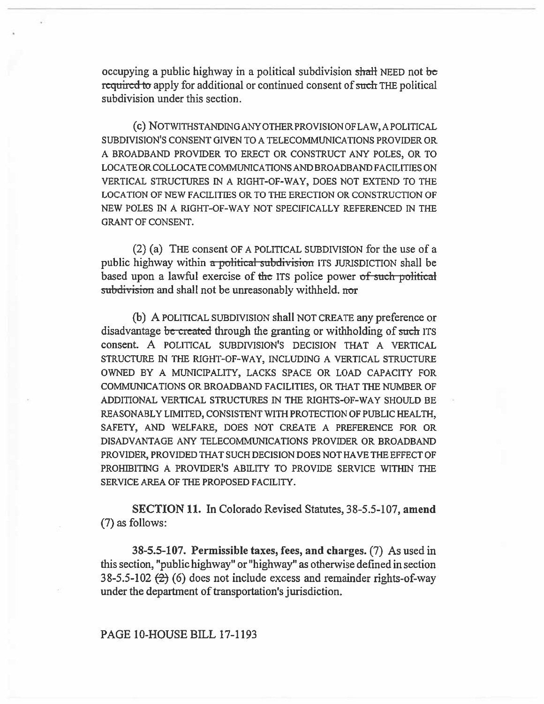occupying a public highway in a political subdivision shall NEED not be required to apply for additional or continued consent of such THE political subdivision under this section.

(0 NOTWITHSTANDING ANY OTHER PROVISION OF LAW, A POLITICAL SUBDIVISION'S CONSENT GIVEN TO A TELECOMMUNICATIONS PROVIDER OR A BROADBAND PROVIDER TO ERECT OR CONSTRUCT ANY POLES, OR TO LOCATE OR COLLOCATE COMMUNICATIONS AND BROADBAND FACILITIES ON VERTICAL STRUCTURES IN A RIGHT-OF-WAY, DOES NOT EXTEND TO THE LOCATION OF NEW FACILITIES OR TO THE ERECTION OR CONSTRUCTION OF NEW POLES IN A RIGHT-OF-WAY NOT SPECIFICALLY REFERENCED IN THE GRANT OF CONSENT.

(2) **(a)** THE consent OF A POLITICAL SUBDIVISION for the use of a public highway within a political subdivision ITS JURISDICTION shall be based upon a lawful exercise of the ITS police power of such political subdivision and shall not be unreasonably withheld. nor

(b) A POLITICAL SUBDIVISION shall NOT CREATE any preference or disadvantage be created through the granting or withholding of such ITS consent. A POLITICAL SUBDIVISION'S DECISION THAT A VERTICAL STRUCTURE IN THE RIGHT-OF-WAY, INCLUDING A VERTICAL STRUCTURE OWNED BY A MUNICIPALITY, LACKS SPACE OR LOAD CAPACITY FOR COMMUNICATIONS OR BROADBAND FACILITIES, OR THAT THE NUMBER OF ADDITIONAL VERTICAL STRUCTURES IN THE RIGHTS-OF-WAY SHOULD BE REASONABLY LIMITED, CONSISTENT WITH PROTECTION OF PUBLIC HEALTH, SAFETY, AND WELFARE, DOES NOT CREATE A PREFERENCE FOR OR DISADVANTAGE ANY TELECOMMUNICATIONS PROVIDER OR BROADBAND PROVIDER, PROVIDED THAT SUCH DECISION DOES NOT HAVE THE EFFECT OF PROHIBITING A PROVIDER'S ABILITY TO PROVIDE SERVICE WITHIN THE SERVICE AREA OF THE PROPOSED FACILITY.

**SECTION 11.** In Colorado Revised Statutes, 38-5.5-107, **amend**  (7) as follows:

**38-5.5-107. Permissible taxes, fees, and charges.** (7) **As used** in this section, "public highway" or "highway" as otherwise defined in section 38-5.5-102  $(2)$  (6) does not include excess and remainder rights-of-way under the department of transportation's jurisdiction.

## PAGE 10-HOUSE **BILL 17-1193**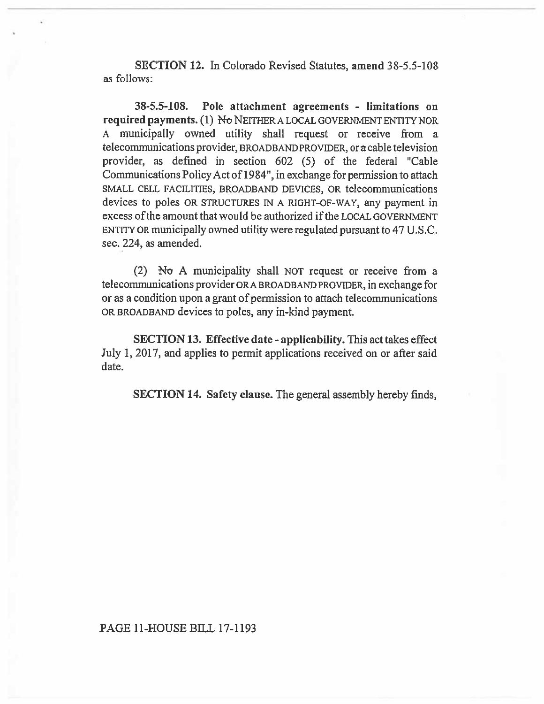SECTION 12. In Colorado Revised Statutes, amend 38-5.5-108 as follows:

**38-5.5-108. Pole attachment agreements - limitations on required payments. (1) No** NEITHER A LOCAL GOVERNMENT ENTITY NOR A municipally owned utility shall request or receive from a telecommunications provider, BROADBAND PROVIDER, or a cable television provider, as defined in section 602 (5) of the federal "Cable Communications Policy Act of 1984", in exchange for permission to attach SMALL CELL FACILITIES, BROADBAND DEVICES, OR telecommunications devices **to poles** OR STRUCTURES IN A RIGHT-OF-WAY, any payment in excess **of the** amount that would be authorized if the LOCAL GOVERNMENT ENTITY OR municipally owned utility were regulated pursuant to **47 U.S.C. sec.** 224, as amended.

(2)  $\forall \sigma$  A municipality shall NOT request or receive from a telecommunications provider ORA BROADBAND PROVIDER, in exchange for or as a condition **upon a grant of permission to attach telecommunications**  OR BROADBAND devices to poles, any in-kind payment.

**SECTION 13. Effective date - applicability. This act takes effect July 1, 2017, and applies to permit applications received on or after said date.** 

**SECTION 14. Safety clause. The general assembly hereby finds,**